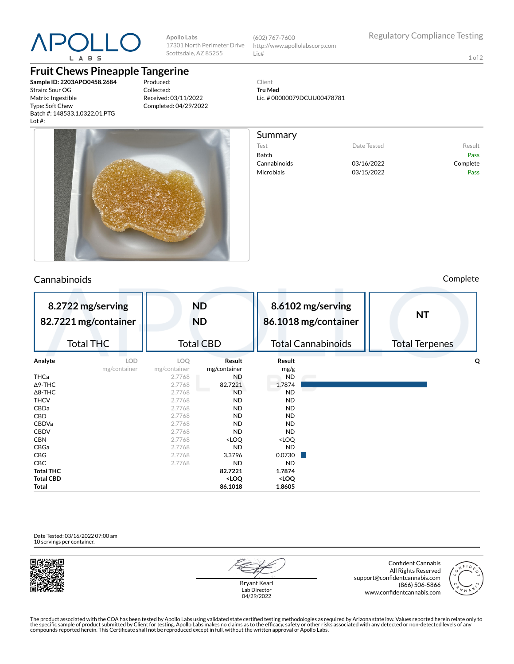

**Apollo Labs** 17301 North Perimeter Drive Scottsdale, AZ 85255

(602) 767-7600 http://www.apollolabscorp.com Lic#

Lic. # 00000079DCUU00478781

Test **Date Tested** Result Batch Pass Cannabinoids 03/16/2022 Complete Microbials **03/15/2022** Pass

Client **Tru Med**

Summary

1 of 2

**Fruit Chews Pineapple Tangerine**

**Sample ID: 2203APO0458.2684** Strain: Sour OG Matrix: Ingestible Type: Soft Chew Batch #: 148533.1.0322.01.PTG Lot #:

Produced: Collected: Received: 03/11/2022 Completed: 04/29/2022



## Cannabinoids Complete

| 8.2722 mg/serving<br>82.7221 mg/container<br><b>Total THC</b> |              | <b>ND</b><br><b>ND</b><br><b>Total CBD</b>                        |                                       | 8.6102 mg/serving<br>86.1018 mg/container<br><b>Total Cannabinoids</b> | <b>NT</b><br><b>Total Terpenes</b> |  |
|---------------------------------------------------------------|--------------|-------------------------------------------------------------------|---------------------------------------|------------------------------------------------------------------------|------------------------------------|--|
| Analyte<br><b>LOD</b>                                         | LOO.         | Result                                                            | Result                                |                                                                        | O                                  |  |
| mg/container                                                  | mg/container | mg/container                                                      | mg/g                                  |                                                                        |                                    |  |
| THCa                                                          | 2.7768       | <b>ND</b>                                                         | <b>ND</b>                             |                                                                        |                                    |  |
| $\Delta$ 9-THC                                                | 2.7768       | 82.7221                                                           | 1.7874                                |                                                                        |                                    |  |
| $\Delta$ 8-THC                                                | 2.7768       | <b>ND</b>                                                         | <b>ND</b>                             |                                                                        |                                    |  |
| <b>THCV</b>                                                   | 2.7768       | <b>ND</b>                                                         | <b>ND</b>                             |                                                                        |                                    |  |
| CBDa                                                          | 2.7768       | <b>ND</b>                                                         | <b>ND</b>                             |                                                                        |                                    |  |
| CBD                                                           | 2.7768       | <b>ND</b>                                                         | <b>ND</b>                             |                                                                        |                                    |  |
| <b>CBDVa</b>                                                  | 2.7768       | <b>ND</b>                                                         | <b>ND</b>                             |                                                                        |                                    |  |
| <b>CBDV</b>                                                   | 2.7768       | <b>ND</b>                                                         | <b>ND</b>                             |                                                                        |                                    |  |
| <b>CBN</b>                                                    | 2.7768       | <loq< th=""><th><loq< th=""><th></th><th></th></loq<></th></loq<> | <loq< th=""><th></th><th></th></loq<> |                                                                        |                                    |  |
| CBGa                                                          | 2.7768       | <b>ND</b>                                                         | <b>ND</b>                             |                                                                        |                                    |  |
| <b>CBG</b>                                                    | 2.7768       | 3.3796                                                            | 0.0730                                |                                                                        |                                    |  |
| <b>CBC</b>                                                    | 2.7768       | <b>ND</b>                                                         | <b>ND</b>                             |                                                                        |                                    |  |
| <b>Total THC</b>                                              |              | 82.7221                                                           | 1.7874                                |                                                                        |                                    |  |
| <b>Total CBD</b>                                              |              | <loq< th=""><th><loq< th=""><th></th><th></th></loq<></th></loq<> | <loq< th=""><th></th><th></th></loq<> |                                                                        |                                    |  |
| Total                                                         |              | 86.1018                                                           | 1.8605                                |                                                                        |                                    |  |

Date Tested: 03/16/2022 07:00 am 10 servings per container.



Bryant Kearl Lab Director 04/29/2022

Confident Cannabis All Rights Reserved support@confidentcannabis.com (866) 506-5866 www.confidentcannabis.com



The product associated with the COA has been tested by Apollo Labs using validated state certified testing methodologies as required by Arizona state law. Values reported herein relate only to<br>the specific sample of produc